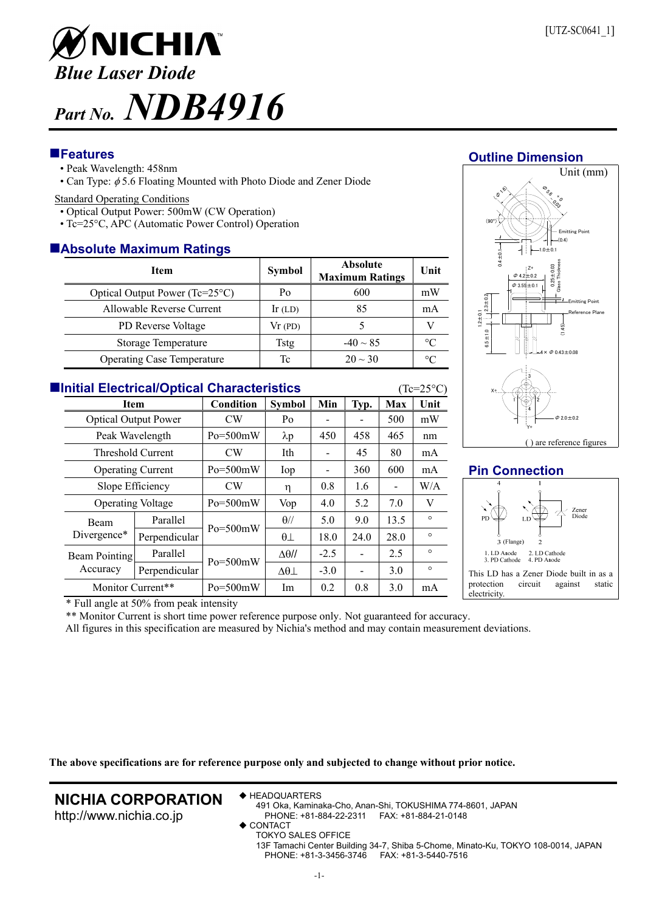

# **Features**

- Peak Wavelength: 458nm
- Can Type:  $\phi$  5.6 Floating Mounted with Photo Diode and Zener Diode

#### Standard Operating Conditions

- Optical Output Power: 500mW (CW Operation)
- Tc=25°C, APC (Automatic Power Control) Operation

# **Absolute Maximum Ratings**

| <b>Item</b>                       | <b>Symbol</b> | <b>Absolute</b><br><b>Maximum Ratings</b> | Unit            |  |  |  |  |  |  |
|-----------------------------------|---------------|-------------------------------------------|-----------------|--|--|--|--|--|--|
| Optical Output Power (Tc=25°C)    | Po            | 600                                       | mW              |  |  |  |  |  |  |
| Allowable Reverse Current         | $Ir$ (LD)     | 85                                        | mA              |  |  |  |  |  |  |
| PD Reverse Voltage                | Vr(PD)        |                                           |                 |  |  |  |  |  |  |
| Storage Temperature               | Tstg          | $-40 \sim 85$                             | $\rm ^{\circ}C$ |  |  |  |  |  |  |
| <b>Operating Case Temperature</b> | Тc            | $20 \sim 30$                              | °C              |  |  |  |  |  |  |

| <b>Elnitial Electrical/Optical Characteristics</b><br>$(Tc=25^{\circ}C)$ |                             |              |                     |        |      |                |         |  |
|--------------------------------------------------------------------------|-----------------------------|--------------|---------------------|--------|------|----------------|---------|--|
|                                                                          | <b>Item</b>                 |              | <b>Symbol</b>       | Min    | Typ. | Max            | Unit    |  |
|                                                                          | <b>Optical Output Power</b> |              | Po                  |        |      | 500            | mW      |  |
| Peak Wavelength                                                          |                             | $Po = 500mW$ | $\lambda p$         | 450    | 458  | 465            | nm      |  |
| Threshold Current                                                        |                             | CW           | Ith                 |        | 45   | 80             | mA      |  |
|                                                                          | <b>Operating Current</b>    |              | Iop                 |        | 360  | 600            | mA      |  |
|                                                                          | Slope Efficiency            |              | η                   | 0.8    | 1.6  | $\blacksquare$ | W/A     |  |
|                                                                          | <b>Operating Voltage</b>    |              | Vop                 | 4.0    | 5.2  | 7.0            | V       |  |
| <b>Beam</b><br>Divergence*                                               | Parallel                    | $Po = 500mW$ | $\theta$ //         | 5.0    | 9.0  | 13.5           | $\circ$ |  |
|                                                                          | Perpendicular               |              | $\theta\bot$        | 18.0   | 24.0 | 28.0           | $\circ$ |  |
| Beam Pointing<br>Accuracy                                                | Parallel                    | $Po = 500mW$ | $\Delta\theta$ //   | $-2.5$ |      | 2.5            | $\circ$ |  |
|                                                                          | Perpendicular               |              | $\Delta\theta\perp$ | $-3.0$ |      | 3.0            | $\circ$ |  |
|                                                                          | Monitor Current**           |              | Im                  | 0.2    | 0.8  | 3.0            | mA      |  |

#### **Outline Dimension** Unit (mm)  $\frac{1}{\sqrt{2}}$ -  $\overline{\phantom{a}}$ (B 16)



# **Pin Connection**



\* Full angle at 50% from peak intensity

\*\* Monitor Current is short time power reference purpose only. Not guaranteed for accuracy.

All figures in this specification are measured by Nichia's method and may contain measurement deviations.

**The above specifications are for reference purpose only and subjected to change without prior notice.**

# **NICHIA CORPORATION**

http://www.nichia.co.jp

◆ HEADQUARTERS

491 Oka, Kaminaka-Cho, Anan-Shi, TOKUSHIMA 774-8601, JAPAN PHONE: +81-884-22-2311 FAX: +81-884-21-0148

- CONTACT
	- TOKYO SALES OFFICE 13F Tamachi Center Building 34-7, Shiba 5-Chome, Minato-Ku, TOKYO 108-0014, JAPAN PHONE: +81-3-3456-3746 FAX: +81-3-5440-7516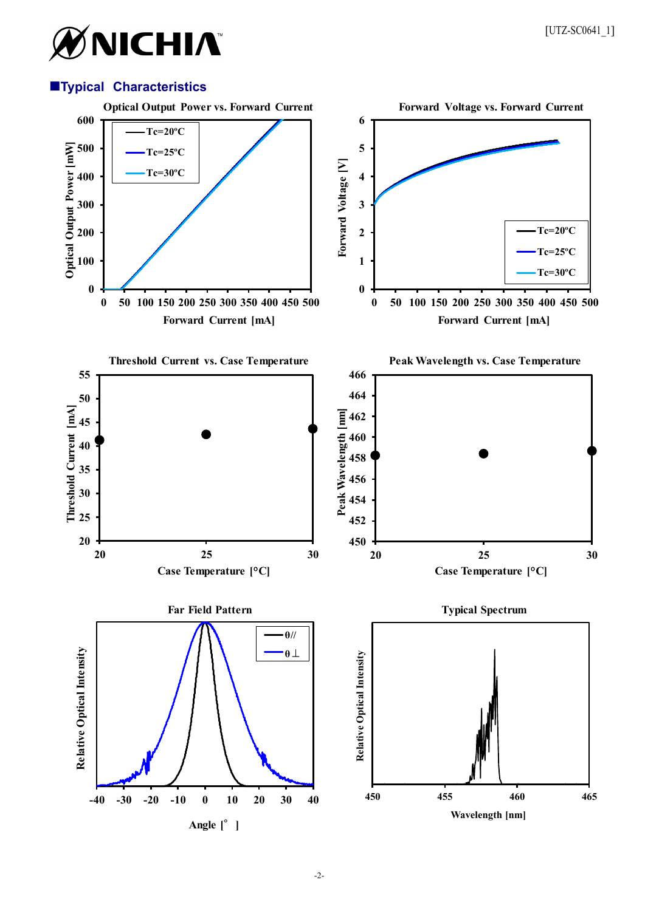# ØNICHIA®

# **Typical Characteristics**